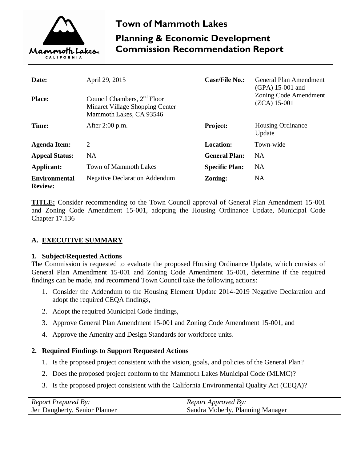

# **Town of Mammoth Lakes Planning & Economic Development Commission Recommendation Report**

| Date:<br><b>Place:</b>                 | April 29, 2015<br>Council Chambers, 2 <sup>nd</sup> Floor<br>Minaret Village Shopping Center<br>Mammoth Lakes, CA 93546 | <b>Case/File No.:</b> | General Plan Amendment<br>$(GPA)$ 15-001 and<br>Zoning Code Amendment<br>$(ZCA)$ 15-001 |
|----------------------------------------|-------------------------------------------------------------------------------------------------------------------------|-----------------------|-----------------------------------------------------------------------------------------|
| Time:                                  | After 2:00 p.m.                                                                                                         | Project:              | <b>Housing Ordinance</b><br>Update                                                      |
| <b>Agenda Item:</b>                    | $\overline{2}$                                                                                                          | <b>Location:</b>      | Town-wide                                                                               |
| <b>Appeal Status:</b>                  | NA                                                                                                                      | <b>General Plan:</b>  | <b>NA</b>                                                                               |
| Applicant:                             | <b>Town of Mammoth Lakes</b>                                                                                            | <b>Specific Plan:</b> | <b>NA</b>                                                                               |
| <b>Environmental</b><br><b>Review:</b> | <b>Negative Declaration Addendum</b>                                                                                    | Zoning:               | <b>NA</b>                                                                               |

**TITLE:** Consider recommending to the Town Council approval of General Plan Amendment 15-001 and Zoning Code Amendment 15-001, adopting the Housing Ordinance Update, Municipal Code Chapter 17.136

\_\_\_\_\_\_\_\_\_\_\_\_\_\_\_\_\_\_\_\_\_\_\_\_\_\_\_\_\_\_\_\_\_\_\_\_\_\_\_\_\_\_\_\_\_\_\_\_\_\_\_\_\_\_\_\_\_\_\_\_\_\_\_\_\_\_\_\_\_\_\_\_\_\_\_\_\_\_\_\_\_\_\_\_\_\_\_\_\_\_\_\_\_\_\_\_\_\_\_\_\_\_\_\_\_\_\_\_\_\_\_\_\_\_\_\_\_\_\_\_\_\_\_\_\_\_\_\_\_\_

## **A. EXECUTIVE SUMMARY**

#### **1. Subject/Requested Actions**

The Commission is requested to evaluate the proposed Housing Ordinance Update, which consists of General Plan Amendment 15-001 and Zoning Code Amendment 15-001, determine if the required findings can be made, and recommend Town Council take the following actions:

- 1. Consider the Addendum to the Housing Element Update 2014-2019 Negative Declaration and adopt the required CEQA findings,
- 2. Adopt the required Municipal Code findings,
- 3. Approve General Plan Amendment 15-001 and Zoning Code Amendment 15-001, and
- 4. Approve the Amenity and Design Standards for workforce units.

## **2. Required Findings to Support Requested Actions**

- 1. Is the proposed project consistent with the vision, goals, and policies of the General Plan?
- 2. Does the proposed project conform to the Mammoth Lakes Municipal Code (MLMC)?
- 3. Is the proposed project consistent with the California Environmental Quality Act (CEQA)?

| <b>Report Prepared By:</b>    | <i>Report Approved By:</i>       |
|-------------------------------|----------------------------------|
| Jen Daugherty, Senior Planner | Sandra Moberly, Planning Manager |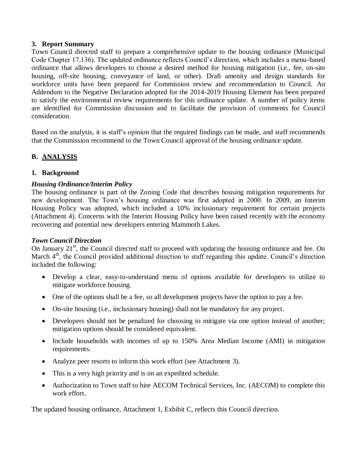## **3. Report Summary**

Town Council directed staff to prepare a comprehensive update to the housing ordinance (Municipal Code Chapter 17.136). The updated ordinance reflects Council's direction, which includes a menu-based ordinance that allows developers to choose a desired method for housing mitigation (i.e., fee, on-site housing, off-site housing, conveyance of land, or other). Draft amenity and design standards for workforce units have been prepared for Commission review and recommendation to Council. An Addendum to the Negative Declaration adopted for the 2014-2019 Housing Element has been prepared to satisfy the environmental review requirements for this ordinance update. A number of policy items are identified for Commission discussion and to facilitate the provision of comments for Council consideration.

Based on the analysis, it is staff's opinion that the required findings can be made, and staff recommends that the Commission recommend to the Town Council approval of the housing ordinance update.

# **B. ANALYSIS**

## **1. Background**

## *Housing Ordinance/Interim Policy*

The housing ordinance is part of the Zoning Code that describes housing mitigation requirements for new development. The Town's housing ordinance was first adopted in 2000. In 2009, an Interim Housing Policy was adopted, which included a 10% inclusionary requirement for certain projects (Attachment 4). Concerns with the Interim Housing Policy have been raised recently with the economy recovering and potential new developers entering Mammoth Lakes.

#### *Town Council Direction*

On January  $21<sup>st</sup>$ , the Council directed staff to proceed with updating the housing ordinance and fee. On March  $4<sup>th</sup>$ , the Council provided additional direction to staff regarding this update. Council's direction included the following:

- Develop a clear, easy-to-understand menu of options available for developers to utilize to mitigate workforce housing.
- One of the options shall be a fee, so all development projects have the option to pay a fee.
- On-site housing (i.e., inclusionary housing) shall not be mandatory for any project.
- Developers should not be penalized for choosing to mitigate via one option instead of another; mitigation options should be considered equivalent.
- Include households with incomes of up to 150% Area Median Income (AMI) in mitigation requirements.
- Analyze peer resorts to inform this work effort (see Attachment 3).
- This is a very high priority and is on an expedited schedule.
- Authorization to Town staff to hire AECOM Technical Services, Inc. (AECOM) to complete this work effort.

The updated housing ordinance, Attachment 1, Exhibit C, reflects this Council direction.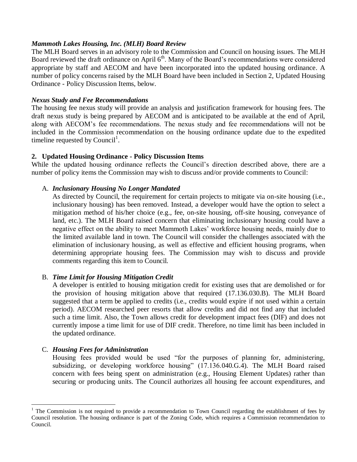## *Mammoth Lakes Housing, Inc. (MLH) Board Review*

The MLH Board serves in an advisory role to the Commission and Council on housing issues. The MLH Board reviewed the draft ordinance on April 6<sup>th</sup>. Many of the Board's recommendations were considered appropriate by staff and AECOM and have been incorporated into the updated housing ordinance. A number of policy concerns raised by the MLH Board have been included in Section 2, Updated Housing Ordinance - Policy Discussion Items, below.

#### *Nexus Study and Fee Recommendations*

The housing fee nexus study will provide an analysis and justification framework for housing fees. The draft nexus study is being prepared by AECOM and is anticipated to be available at the end of April, along with AECOM's fee recommendations. The nexus study and fee recommendations will not be included in the Commission recommendation on the housing ordinance update due to the expedited timeline requested by Council<sup>1</sup>.

## **2. Updated Housing Ordinance - Policy Discussion Items**

While the updated housing ordinance reflects the Council's direction described above, there are a number of policy items the Commission may wish to discuss and/or provide comments to Council:

## A. *Inclusionary Housing No Longer Mandated*

As directed by Council, the requirement for certain projects to mitigate via on-site housing (i.e., inclusionary housing) has been removed. Instead, a developer would have the option to select a mitigation method of his/her choice (e.g., fee, on-site housing, off-site housing, conveyance of land, etc.). The MLH Board raised concern that eliminating inclusionary housing could have a negative effect on the ability to meet Mammoth Lakes' workforce housing needs, mainly due to the limited available land in town. The Council will consider the challenges associated with the elimination of inclusionary housing, as well as effective and efficient housing programs, when determining appropriate housing fees. The Commission may wish to discuss and provide comments regarding this item to Council.

## B. *Time Limit for Housing Mitigation Credit*

A developer is entitled to housing mitigation credit for existing uses that are demolished or for the provision of housing mitigation above that required (17.136.030.B). The MLH Board suggested that a term be applied to credits (i.e., credits would expire if not used within a certain period). AECOM researched peer resorts that allow credits and did not find any that included such a time limit. Also, the Town allows credit for development impact fees (DIF) and does not currently impose a time limit for use of DIF credit. Therefore, no time limit has been included in the updated ordinance.

## C. *Housing Fees for Administration*

 $\overline{a}$ 

Housing fees provided would be used "for the purposes of planning for, administering, subsidizing, or developing workforce housing" (17.136.040.G.4). The MLH Board raised concern with fees being spent on administration (e.g., Housing Element Updates) rather than securing or producing units. The Council authorizes all housing fee account expenditures, and

<sup>&</sup>lt;sup>1</sup> The Commission is not required to provide a recommendation to Town Council regarding the establishment of fees by Council resolution. The housing ordinance is part of the Zoning Code, which requires a Commission recommendation to Council.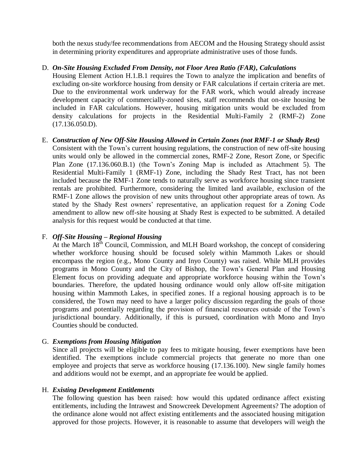both the nexus study/fee recommendations from AECOM and the Housing Strategy should assist in determining priority expenditures and appropriate administrative uses of those funds.

## D. *On-Site Housing Excluded From Density, not Floor Area Ratio (FAR), Calculations*

Housing Element Action H.1.B.1 requires the Town to analyze the implication and benefits of excluding on-site workforce housing from density or FAR calculations if certain criteria are met. Due to the environmental work underway for the FAR work, which would already increase development capacity of commercially-zoned sites, staff recommends that on-site housing be included in FAR calculations. However, housing mitigation units would be excluded from density calculations for projects in the Residential Multi-Family 2 (RMF-2) Zone (17.136.050.D).

#### E. *Construction of New Off-Site Housing Allowed in Certain Zones (not RMF-1 or Shady Rest)*

Consistent with the Town's current housing regulations, the construction of new off-site housing units would only be allowed in the commercial zones, RMF-2 Zone, Resort Zone, or Specific Plan Zone (17.136.060.B.1) (the Town's Zoning Map is included as Attachment 5). The Residential Multi-Family 1 (RMF-1) Zone, including the Shady Rest Tract, has not been included because the RMF-1 Zone tends to naturally serve as workforce housing since transient rentals are prohibited. Furthermore, considering the limited land available, exclusion of the RMF-1 Zone allows the provision of new units throughout other appropriate areas of town. As stated by the Shady Rest owners' representative, an application request for a Zoning Code amendment to allow new off-site housing at Shady Rest is expected to be submitted. A detailed analysis for this request would be conducted at that time.

#### F. *Off-Site Housing – Regional Housing*

At the March  $18<sup>th</sup>$  Council, Commission, and MLH Board workshop, the concept of considering whether workforce housing should be focused solely within Mammoth Lakes or should encompass the region (e.g., Mono County and Inyo County) was raised. While MLH provides programs in Mono County and the City of Bishop, the Town's General Plan and Housing Element focus on providing adequate and appropriate workforce housing within the Town's boundaries. Therefore, the updated housing ordinance would only allow off-site mitigation housing within Mammoth Lakes, in specified zones. If a regional housing approach is to be considered, the Town may need to have a larger policy discussion regarding the goals of those programs and potentially regarding the provision of financial resources outside of the Town's jurisdictional boundary. Additionally, if this is pursued, coordination with Mono and Inyo Counties should be conducted.

#### G. *Exemptions from Housing Mitigation*

Since all projects will be eligible to pay fees to mitigate housing, fewer exemptions have been identified. The exemptions include commercial projects that generate no more than one employee and projects that serve as workforce housing (17.136.100). New single family homes and additions would not be exempt, and an appropriate fee would be applied.

#### H. *Existing Development Entitlements*

The following question has been raised: how would this updated ordinance affect existing entitlements, including the Intrawest and Snowcreek Development Agreements? The adoption of the ordinance alone would not affect existing entitlements and the associated housing mitigation approved for those projects. However, it is reasonable to assume that developers will weigh the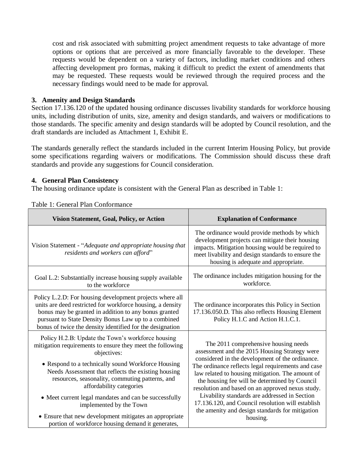cost and risk associated with submitting project amendment requests to take advantage of more options or options that are perceived as more financially favorable to the developer. These requests would be dependent on a variety of factors, including market conditions and others affecting development pro formas, making it difficult to predict the extent of amendments that may be requested. These requests would be reviewed through the required process and the necessary findings would need to be made for approval.

#### **3. Amenity and Design Standards**

Section 17.136.120 of the updated housing ordinance discusses livability standards for workforce housing units, including distribution of units, size, amenity and design standards, and waivers or modifications to those standards. The specific amenity and design standards will be adopted by Council resolution, and the draft standards are included as Attachment 1, Exhibit E.

The standards generally reflect the standards included in the current Interim Housing Policy, but provide some specifications regarding waivers or modifications. The Commission should discuss these draft standards and provide any suggestions for Council consideration.

#### **4. General Plan Consistency**

The housing ordinance update is consistent with the General Plan as described in Table 1:

| Vision Statement, Goal, Policy, or Action                                                                                                                                                                                                                                                                                                                                                                                                                                                                                    | <b>Explanation of Conformance</b>                                                                                                                                                                                                                                                                                                                                                                                                                                                                                            |  |
|------------------------------------------------------------------------------------------------------------------------------------------------------------------------------------------------------------------------------------------------------------------------------------------------------------------------------------------------------------------------------------------------------------------------------------------------------------------------------------------------------------------------------|------------------------------------------------------------------------------------------------------------------------------------------------------------------------------------------------------------------------------------------------------------------------------------------------------------------------------------------------------------------------------------------------------------------------------------------------------------------------------------------------------------------------------|--|
| Vision Statement - "Adequate and appropriate housing that<br>residents and workers can afford"                                                                                                                                                                                                                                                                                                                                                                                                                               | The ordinance would provide methods by which<br>development projects can mitigate their housing<br>impacts. Mitigation housing would be required to<br>meet livability and design standards to ensure the<br>housing is adequate and appropriate.                                                                                                                                                                                                                                                                            |  |
| Goal L.2: Substantially increase housing supply available<br>to the workforce                                                                                                                                                                                                                                                                                                                                                                                                                                                | The ordinance includes mitigation housing for the<br>workforce.                                                                                                                                                                                                                                                                                                                                                                                                                                                              |  |
| Policy L.2.D: For housing development projects where all<br>units are deed restricted for workforce housing, a density<br>bonus may be granted in addition to any bonus granted<br>pursuant to State Density Bonus Law up to a combined<br>bonus of twice the density identified for the designation                                                                                                                                                                                                                         | The ordinance incorporates this Policy in Section<br>17.136.050.D. This also reflects Housing Element<br>Policy H.1.C and Action H.1.C.1.                                                                                                                                                                                                                                                                                                                                                                                    |  |
| Policy H.2.B: Update the Town's workforce housing<br>mitigation requirements to ensure they meet the following<br>objectives:<br>• Respond to a technically sound Workforce Housing<br>Needs Assessment that reflects the existing housing<br>resources, seasonality, commuting patterns, and<br>affordability categories<br>• Meet current legal mandates and can be successfully<br>implemented by the Town<br>• Ensure that new development mitigates an appropriate<br>portion of workforce housing demand it generates, | The 2011 comprehensive housing needs<br>assessment and the 2015 Housing Strategy were<br>considered in the development of the ordinance.<br>The ordinance reflects legal requirements and case<br>law related to housing mitigation. The amount of<br>the housing fee will be determined by Council<br>resolution and based on an approved nexus study.<br>Livability standards are addressed in Section<br>17.136.120, and Council resolution will establish<br>the amenity and design standards for mitigation<br>housing. |  |

Table 1: General Plan Conformance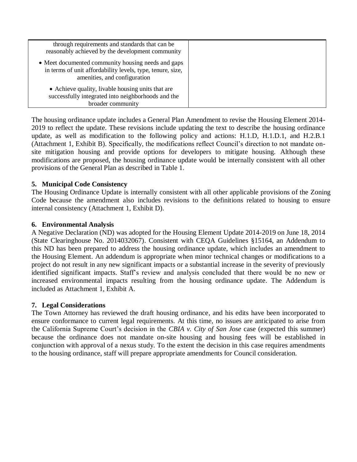| through requirements and standards that can be<br>reasonably achieved by the development community                                               |  |
|--------------------------------------------------------------------------------------------------------------------------------------------------|--|
| • Meet documented community housing needs and gaps<br>in terms of unit affordability levels, type, tenure, size,<br>amenities, and configuration |  |
| • Achieve quality, livable housing units that are<br>successfully integrated into neighborhoods and the<br>broader community                     |  |

The housing ordinance update includes a General Plan Amendment to revise the Housing Element 2014- 2019 to reflect the update. These revisions include updating the text to describe the housing ordinance update, as well as modification to the following policy and actions: H.1.D, H.1.D.1, and H.2.B.1 (Attachment 1, Exhibit B). Specifically, the modifications reflect Council's direction to not mandate onsite mitigation housing and provide options for developers to mitigate housing. Although these modifications are proposed, the housing ordinance update would be internally consistent with all other provisions of the General Plan as described in Table 1.

## **5. Municipal Code Consistency**

The Housing Ordinance Update is internally consistent with all other applicable provisions of the Zoning Code because the amendment also includes revisions to the definitions related to housing to ensure internal consistency (Attachment 1, Exhibit D).

#### **6. Environmental Analysis**

A Negative Declaration (ND) was adopted for the Housing Element Update 2014-2019 on June 18, 2014 (State Clearinghouse No. 2014032067). Consistent with CEQA Guidelines §15164, an Addendum to this ND has been prepared to address the housing ordinance update, which includes an amendment to the Housing Element. An addendum is appropriate when minor technical changes or modifications to a project do not result in any new significant impacts or a substantial increase in the severity of previously identified significant impacts. Staff's review and analysis concluded that there would be no new or increased environmental impacts resulting from the housing ordinance update. The Addendum is included as Attachment 1, Exhibit A.

#### **7. Legal Considerations**

The Town Attorney has reviewed the draft housing ordinance, and his edits have been incorporated to ensure conformance to current legal requirements. At this time, no issues are anticipated to arise from the California Supreme Court's decision in the *CBIA v. City of San Jose* case (expected this summer) because the ordinance does not mandate on-site housing and housing fees will be established in conjunction with approval of a nexus study. To the extent the decision in this case requires amendments to the housing ordinance, staff will prepare appropriate amendments for Council consideration.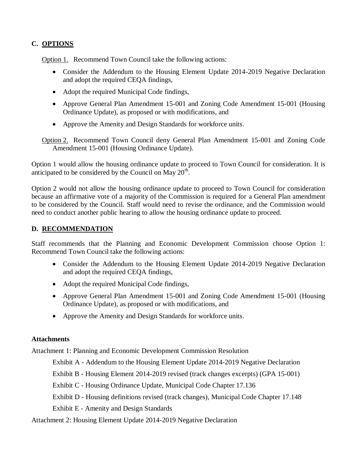## **C. OPTIONS**

Option 1. Recommend Town Council take the following actions:

- Consider the Addendum to the Housing Element Update 2014-2019 Negative Declaration and adopt the required CEQA findings,
- Adopt the required Municipal Code findings,
- Approve General Plan Amendment 15-001 and Zoning Code Amendment 15-001 (Housing Ordinance Update), as proposed or with modifications, and
- Approve the Amenity and Design Standards for workforce units.

Option 2. Recommend Town Council deny General Plan Amendment 15-001 and Zoning Code Amendment 15-001 (Housing Ordinance Update).

Option 1 would allow the housing ordinance update to proceed to Town Council for consideration. It is anticipated to be considered by the Council on May  $20<sup>th</sup>$ .

Option 2 would not allow the housing ordinance update to proceed to Town Council for consideration because an affirmative vote of a majority of the Commission is required for a General Plan amendment to be considered by the Council. Staff would need to revise the ordinance, and the Commission would need to conduct another public hearing to allow the housing ordinance update to proceed.

## **D. RECOMMENDATION**

Staff recommends that the Planning and Economic Development Commission choose Option 1: Recommend Town Council take the following actions:

- Consider the Addendum to the Housing Element Update 2014-2019 Negative Declaration and adopt the required CEQA findings,
- Adopt the required Municipal Code findings,
- Approve General Plan Amendment 15-001 and Zoning Code Amendment 15-001 (Housing Ordinance Update), as proposed or with modifications, and
- Approve the Amenity and Design Standards for workforce units.

## **Attachments**

Attachment 1: Planning and Economic Development Commission Resolution

Exhibit A - Addendum to the Housing Element Update 2014-2019 Negative Declaration

Exhibit B - Housing Element 2014-2019 revised (track changes excerpts) (GPA 15-001)

Exhibit C - Housing Ordinance Update, Municipal Code Chapter 17.136

Exhibit D - Housing definitions revised (track changes), Municipal Code Chapter 17.148

Exhibit E - Amenity and Design Standards

Attachment 2: Housing Element Update 2014-2019 Negative Declaration